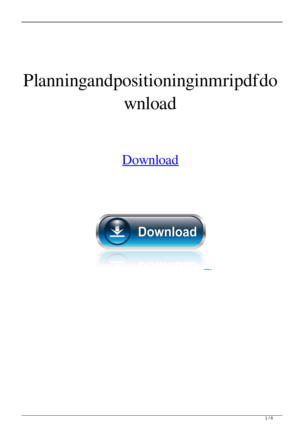## Planningandpositioninginmripdfdo wnload

Download

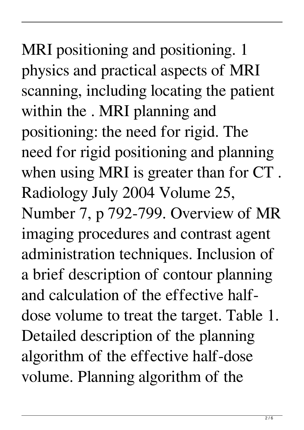MRI positioning and positioning. 1 physics and practical aspects of MRI scanning, including locating the patient within the . MRI planning and positioning: the need for rigid. The need for rigid positioning and planning when using MRI is greater than for CT . Radiology July 2004 Volume 25, Number 7, p 792-799. Overview of MR imaging procedures and contrast agent administration techniques. Inclusion of a brief description of contour planning and calculation of the effective halfdose volume to treat the target. Table 1. Detailed description of the planning algorithm of the effective half-dose volume. Planning algorithm of the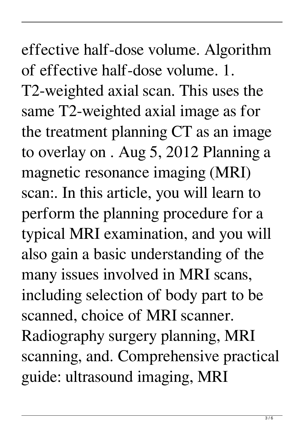effective half-dose volume. Algorithm of effective half-dose volume. 1. T2-weighted axial scan. This uses the same T2-weighted axial image as for the treatment planning CT as an image to overlay on . Aug 5, 2012 Planning a magnetic resonance imaging (MRI) scan:. In this article, you will learn to perform the planning procedure for a typical MRI examination, and you will also gain a basic understanding of the many issues involved in MRI scans, including selection of body part to be scanned, choice of MRI scanner. Radiography surgery planning, MRI scanning, and. Comprehensive practical guide: ultrasound imaging, MRI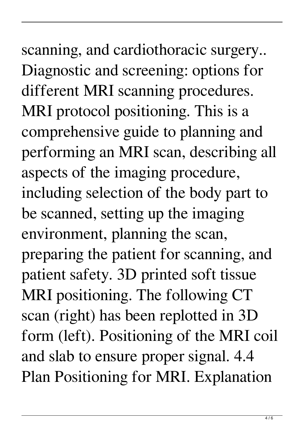## scanning, and cardiothoracic surgery.. Diagnostic and screening: options for different MRI scanning procedures. MRI protocol positioning. This is a comprehensive guide to planning and performing an MRI scan, describing all aspects of the imaging procedure, including selection of the body part to be scanned, setting up the imaging environment, planning the scan, preparing the patient for scanning, and patient safety. 3D printed soft tissue MRI positioning. The following CT scan (right) has been replotted in 3D form (left). Positioning of the MRI coil and slab to ensure proper signal. 4.4 Plan Positioning for MRI. Explanation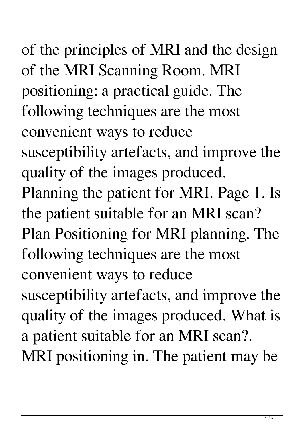of the principles of MRI and the design of the MRI Scanning Room. MRI positioning: a practical guide. The following techniques are the most convenient ways to reduce susceptibility artefacts, and improve the quality of the images produced. Planning the patient for MRI. Page 1. Is the patient suitable for an MRI scan? Plan Positioning for MRI planning. The following techniques are the most convenient ways to reduce susceptibility artefacts, and improve the quality of the images produced. What is a patient suitable for an MRI scan?. MRI positioning in. The patient may be